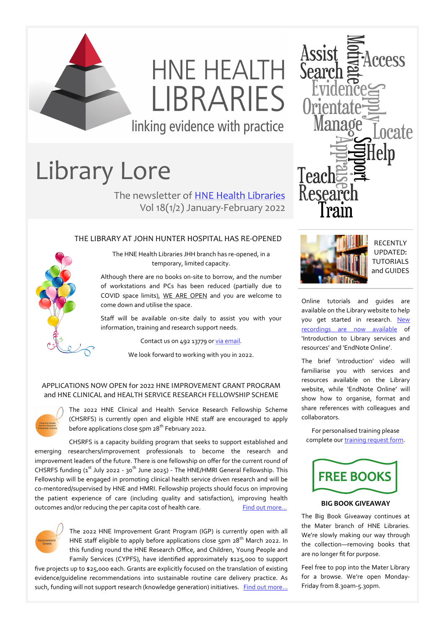

# HNE HEALTH **I IBRARIES**

linking evidence with practice

# Library Lore

The newsletter of [HNE Health Libraries](http://www.hnehealthlibraries.com.au) Vol 18(1/2) January-February 2022

# THE LIBRARY AT JOHN HUNTER HOSPITAL HAS RE-OPENED

The HNE Health Libraries JHH branch has re-opened, in a temporary, limited capacity.

Although there are no books on-site to borrow, and the number of workstations and PCs has been reduced (partially due to COVID space limits), WE ARE OPEN and you are welcome to come down and utilise the space.

Staff will be available on-site daily to assist you with your information, training and research support needs.

Contact us on 492 13779 or [via email.](mailto:HNELHD-Libraries@health.nsw.gov.au)

We look forward to working with you in 2022.

# APPLICATIONS NOW OPEN for 2022 HNE IMPROVEMENT GRANT PROGRAM and HNE CLINICAL and HEALTH SERVICE RESEARCH FELLOWSHIP SCHEME



The 2022 HNE Clinical and Health Service Research Fellowship Scheme (CHSRFS) is currently open and eligible HNE staff are encouraged to apply before applications close 5pm 28<sup>th</sup> February 2022.

CHSRFS is a capacity building program that seeks to support established and emerging researchers/improvement professionals to become the research and improvement leaders of the future. There is one fellowship on offer for the current round of CHSRFS funding  $(a^{st}$  July 2022 - 30<sup>th</sup> June 2025) - The HNE/HMRI General Fellowship. This Fellowship will be engaged in promoting clinical health service driven research and will be co-mentored/supervised by HNE and HMRI. Fellowship projects should focus on improving the patient experience of care (including quality and satisfaction), improving health outcomes and/or reducing the per capita cost of health care. Find out more...



The 2022 HNE Improvement Grant Program (IGP) is currently open with all HNE staff eligible to apply before applications close  $5p$ m  $28<sup>th</sup>$  March 2022. In this funding round the HNE Research Office, and Children, Young People and Family Services (CYPFS), have identified approximately \$125,000 to support

five projects up to \$25,000 each. Grants are explicitly focused on the translation of existing evidence/guideline recommendations into sustainable routine care delivery practice. As such, funding will not support research (knowledge generation) initiatives. Find out more...





RECENTLY UPDATED: TUTORIALS and GUIDES

Online tutorials and guides are available on the Library website to help you get started in research. New [recordings are now available](https://www.hnehealthlibraries.com.au/303) of 'Introduction to Library services and resources' and 'EndNote Online'.

The brief 'introduction' video will familiarise you with services and resources available on the Library website, while 'EndNote Online' will show how to organise, format and share references with colleagues and collaborators.

For personalised training please complete our [training request form.](https://www.hnehealthlibraries.com.au/302)



# **BIG BOOK GIVEAWAY**

The Big Book Giveaway continues at the Mater branch of HNE Libraries. We're slowly making our way through the collection—removing books that are no longer fit for purpose.

Feel free to pop into the Mater Library for a browse. We're open Monday-Friday from 8.30am-5.30pm.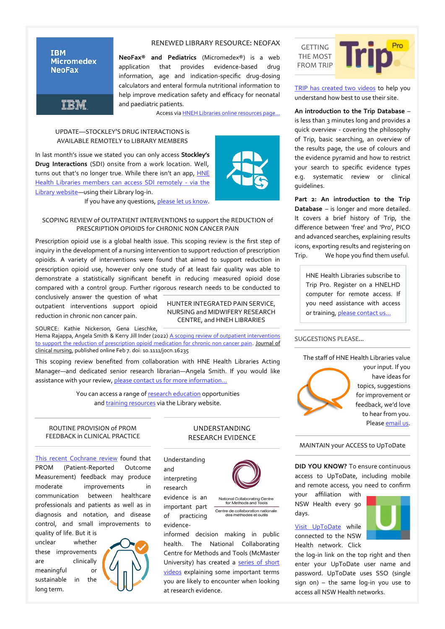#### **IBM Micromedex NeoFax**

**TRM** 

#### RENEWED LIBRARY RESOURCE: NEOFAX

**NeoFax® and Pediatrics** (Micromedex®) is a web application that provides evidence-based drug information, age and indication-specific drug-dosing calculators and enteral formula nutritional information to help improve medication safety and efficacy for neonatal and paediatric patients.

Access via [HNEH Libraries online resources page…](https://www.hnehealthlibraries.com.au/497)

# UPDATE—STOCKLEY'S DRUG INTERACTIONS is AVAILABLE REMOTELY to LIBRARY MEMBERS

In last month's issue we stated you can only access **Stockley's Drug Interactions** (SDI) onsite from a work location. Well, turns out that's no longer true. While there isn't an app, [HNE](https://www.hnehealthlibraries.com.au/497)  [Health Libraries members can access SDI remotely](https://www.hnehealthlibraries.com.au/497) - via the [Library website—u](https://www.hnehealthlibraries.com.au/497)sing their Library log-in.

If you have any questions, [please let us know.](mailto:hnelhd-libraries@health.nsw.gov.au)

### SCOPING REVIEW of OUTPATIENT INTERVENTIONS to support the REDUCTION of PRESCRIPTION OPIOIDS for CHRONIC NON CANCER PAIN

Prescription opioid use is a global health issue. This scoping review is the first step of inquiry in the development of a nursing intervention to support reduction of prescription opioids. A variety of interventions were found that aimed to support reduction in prescription opioid use, however only one study of at least fair quality was able to demonstrate a statistically significant benefit in reducing measured opioid dose compared with a control group. Further rigorous research needs to be conducted to

conclusively answer the question of what outpatient interventions support opioid reduction in chronic non cancer pain.

HUNTER INTEGRATED PAIN SERVICE, NURSING and MIDWIFERY RESEARCH CENTRE, and HNEH LIBRARIES

SOURCE: Kathie Nickerson, Gena Lieschke,

Hema Rajappa, Angela Smith & Kerry Jill Inder (2022) [A scoping review of outpatient interventions](https://onlinelibrary.wiley.com/doi/epdf/10.1111/jocn.16235)  [to support the reduction of prescription opioid medication for chronic non cancer pain.](https://onlinelibrary.wiley.com/doi/epdf/10.1111/jocn.16235) Journal of clinical nursing, published online Feb 7. doi: 10.1111/jocn.16235

This scoping review benefited from collaboration with HNE Health Libraries Acting Manager—and dedicated senior research librarian—Angela Smith. If you would like assistance with your review, [please contact us for more information...](mailto:hnelhd-libraries@health.nsw.gov.au)

> You can access a range of [research education](https://www.hnehealthlibraries.com.au/479) opportunities and [training resources](https://www.hnehealthlibraries.com.au/303) via the Library website.

#### ROUTINE PROVISION of PROM FEEDBACK in CLINICAL PRACTICE

[This recent Cochrane review](https://www.cochranelibrary.com/cdsr/doi/10.1002/14651858.CD011589.pub2/epdf/full) found that PROM (Patient-Reported Outcome Measurement) feedback may produce moderate improvements in communication between healthcare professionals and patients as well as in diagnosis and notation, and disease control, and small improvements to

quality of life. But it is unclear whether these improvements are clinically meaningful or sustainable in the long term.



# UNDERSTANDING RESEARCH EVIDENCE

Understanding and interpreting research

evidence is an important part of practicing evidence-



tional Collaborating Centre<br>for Methods and Tools Centre de collaboration nationale e máthodes et outile

informed decision making in public health. The National Collaborating Centre for Methods and Tools (McMaster University) has created a series of short [videos](https://www.nccmt.ca/training/videos?v#ure1) explaining some important terms you are likely to encounter when looking at research evidence.



[TRIP has created two videos](https://blog.tripdatabase.com/2022/02/08/getting-the-most-from-trip/) to help you understand how best to use their site.

**An introduction to the Trip Database** – is less than 3 minutes long and provides a quick overview - covering the philosophy of Trip, basic searching, an overview of the results page, the use of colours and the evidence pyramid and how to restrict your search to specific evidence types e.g. systematic review or clinical guidelines.

**Part 2: An introduction to the Trip Database** – is longer and more detailed. It covers a brief history of Trip, the difference between 'free' and 'Pro', PICO and advanced searches, explaining results icons, exporting results and registering on Trip. We hope you find them useful.

HNE Health Libraries subscribe to Trip Pro. Register on a HNELHD computer for remote access. If you need assistance with access or training, [please contact us...](https://www.hnehealthlibraries.com.au/302)

# SUGGESTIONS PLEASE...

The staff of HNE Health Libraries value



your input. If you have ideas for topics, suggestions for improvement or feedback, we'd love to hear from you. Please [email us.](mailto:HNELHD-MaterLibrary@health.nsw.gov.au)

MAINTAIN your ACCESS to UpToDate

**DID YOU KNOW?** To ensure continuous access to UpToDate, including mobile and remote access, you need to confirm

your affiliation with NSW Health every 90 days.

[Visit UpToDate](https://www.uptodate.com.acs.hcn.com.au/contents/search) while connected to the NSW Health network. Click



the log-in link on the top right and then enter your UpToDate user name and password. UpToDate uses SSO (single sign on) – the same log-in you use to access all NSW Health networks.

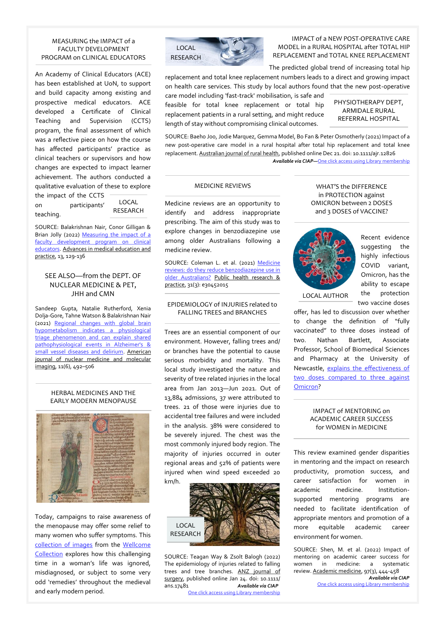#### MEASURING the IMPACT of a FACULTY DEVELOPMENT PROGRAM on CLINICAL EDUCATORS

An Academy of Clinical Educators (ACE) has been established at UoN, to support and build capacity among existing and prospective medical educators. ACE developed a Certificate of Clinical Teaching and Supervision (CCTS) program, the final assessment of which was a reflective piece on how the course has affected participants' practice as clinical teachers or supervisors and how changes are expected to impact learner achievement. The authors conducted a qualitative evaluation of these to explore the impact of the CCTS on participants' teaching. LOCAL **RESEARCH** 

SOURCE: Balakrishnan Nair, Conor Gilligan & Brian Jolly (2022) Measuring the impact of a faculty development program on clinical [educators.](https://www.dovepress.com/measuring-the-impact-of-a-faculty-development-program-on-clinical-educ-peer-reviewed-fulltext-article-AMEP) Advances in medical education and practice, 13, 129-136

# SEE ALSO—from the DEPT. OF NUCLEAR MEDICINE & PET, JHH and CMN

Sandeep Gupta, Natalie Rutherford, Xenia Dolja-Gore, Tahne Watson & Balakrishnan Nair (2021) [Regional changes with global brain](https://www.ncbi.nlm.nih.gov/pmc/articles/PMC8727878/pdf/ajnmmi0011-0492.pdf)  [hypometabolism indicates a physiological](https://www.ncbi.nlm.nih.gov/pmc/articles/PMC8727878/pdf/ajnmmi0011-0492.pdf)  [triage phenomenon and can explain shared](https://www.ncbi.nlm.nih.gov/pmc/articles/PMC8727878/pdf/ajnmmi0011-0492.pdf)  [pathophysiological events in Alzheimer's &](https://www.ncbi.nlm.nih.gov/pmc/articles/PMC8727878/pdf/ajnmmi0011-0492.pdf)  [small vessel diseases and delirium.](https://www.ncbi.nlm.nih.gov/pmc/articles/PMC8727878/pdf/ajnmmi0011-0492.pdf) American journal of nuclear medicine and molecular imaging, 11(6), 492–506

### HERBAL MEDICINES AND THE EARLY MODERN MENOPAUSE



Today, campaigns to raise awareness of the menopause may offer some relief to many women who suffer symptoms. This [collection of images](https://wellcomecollection.org/articles/YeWBWRAAAIAWNEd0) from the [Wellcome](https://wellcomecollection.org/about-us)  [Collection](https://wellcomecollection.org/about-us) explores how this challenging time in a woman's life was ignored, misdiagnosed, or subject to some very odd 'remedies' throughout the medieval and early modern period.



IMPACT of a NEW POST-OPERATIVE CARE MODEL in a RURAL HOSPITAL after TOTAL HIP REPLACEMENT and TOTAL KNEE REPLACEMENT

The predicted global trend of increasing total hip

replacement and total knee replacement numbers leads to a direct and growing impact on health care services. This study by local authors found that the new post-operative

care model including 'fast-track' mobilisation, is safe and feasible for total knee replacement or total hip replacement patients in a rural setting, and might reduce length of stay without compromising clinical outcomes.

PHYSIOTHERAPY DEPT, ARMIDALE RURAL REFERRAL HOSPITAL

SOURCE: Baeho Joo, Jodie Marquez, Gemma Model, Bo Fan & Peter Osmotherly (2021) Impact of a new post-operative care model in a rural hospital after total hip replacement and total knee replacement. Australian journal of rural health, published online Dec 21. doi: 10.1111/ajr.12826 *Available via CIAP—*[One click access using Library membership](https://hnehealth.ovidds.com/resolver?sid=Entrez:PubMed&id=pmid:34932241)

# MEDICINE REVIEWS

Medicine reviews are an opportunity to identify and address inappropriate prescribing. The aim of this study was to explore changes in benzodiazepine use among older Australians following a medicine review.

SOURCE: Coleman L. et al. (2021) Medicine reviews: do they reduce benzodiazepine use in [older Australians?](https://www.phrp.com.au/wp-content/uploads/2020/12/PHRP30452015.pdf) Public health research & practice, 31(3): e30452015

#### EPIDEMIOLOGY of INJURIES related to FALLING TREES and BRANCHES

Trees are an essential component of our environment. However, falling trees and/ or branches have the potential to cause serious morbidity and mortality. This local study investigated the nature and severity of tree related injuries in the local area from Jan 2013—Jun 2021. Out of 13,884 admissions, 37 were attributed to trees. 21 of those were injuries due to accidental tree failures and were included in the analysis. 38% were considered to be severely injured. The chest was the most commonly injured body region. The majority of injuries occurred in outer regional areas and 52% of patients were injured when wind speed exceeded 20 km/h.



SOURCE: Teagan Way & Zsolt Balogh (2022) The epidemiology of injuries related to falling trees and tree branches. ANZ journal of surgery, published online Jan 24. doi: 10.1111/ ans.17481 *Available via CIAP* [One click access using Library membership](https://hnehealth.ovidds.com/resolver?sid=Entrez:PubMed&id=pmid:35068037)

WHAT'S the DIFFERENCE in PROTECTION against OMICRON between 2 DOSES and 3 DOSES of VACCINE?



Recent evidence suggesting the highly infectious COVID variant, Omicron, has the ability to escape the protection two vaccine doses

offer, has led to discussion over whether to change the definition of "fully vaccinated" to three doses instead of two. Nathan Bartlett, Associate Professor, School of Biomedical Sciences and Pharmacy at the University of Newcastle, [explains the effectiveness of](https://theconversation.com/whats-the-difference-in-protection-against-omicron-between-2-doses-and-3-doses-of-vaccine-176447)  [two doses compared to three against](https://theconversation.com/whats-the-difference-in-protection-against-omicron-between-2-doses-and-3-doses-of-vaccine-176447)  [Omicron?](https://theconversation.com/whats-the-difference-in-protection-against-omicron-between-2-doses-and-3-doses-of-vaccine-176447)

#### IMPACT of MENTORING on ACADEMIC CAREER SUCCESS for WOMEN in MEDICINE

This review examined gender disparities in mentoring and the impact on research productivity, promotion success, and career satisfaction for women in academic medicine. Institutionsupported mentoring programs are needed to facilitate identification of appropriate mentors and promotion of a more equitable academic career environment for women.

SOURCE: Shen, M. et al. (2022) Impact of mentoring on academic career success for women in medicine: a systematic review. Academic medicine, 97(3), 444-458 *Available via CIAP*

[One click access using Library membership](https://hnehealth.ovidds.com/resolver?sid=Entrez:PubMed&id=pmid:34907962)